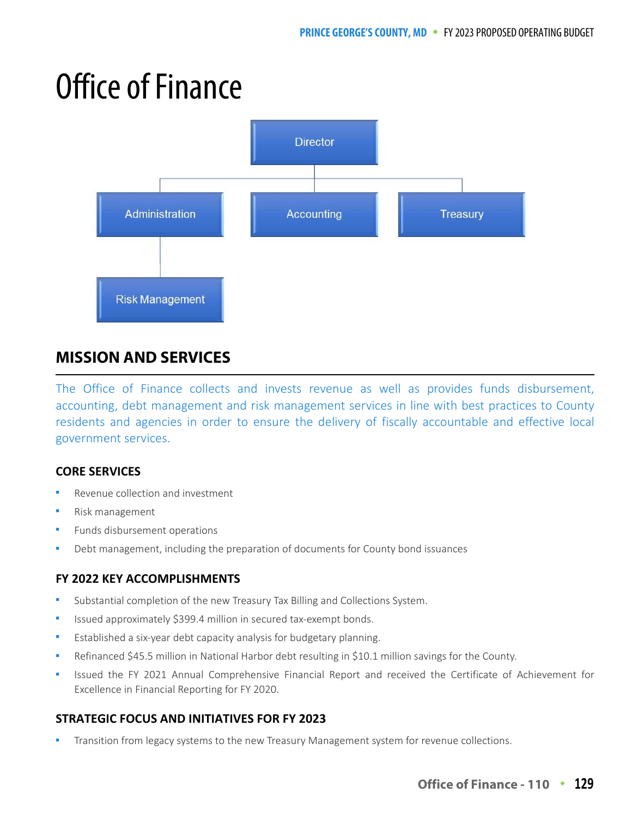# Office of Finance



# **MISSION AND SERVICES**

The Office of Finance collects and invests revenue as well as provides funds disbursement, accounting, debt management and risk management services in line with best practices to County residents and agencies in order to ensure the delivery of fiscally accountable and effective local government services.

## **CORE SERVICES**

- Revenue collection and investment
- Risk management
- Funds disbursement operations
- Debt management, including the preparation of documents for County bond issuances

## **FY 2022 KEY ACCOMPLISHMENTS**

- Substantial completion of the new Treasury Tax Billing and Collections System.
- Issued approximately \$399.4 million in secured tax-exempt bonds.
- Established a six-year debt capacity analysis for budgetary planning.
- Refinanced \$45.5 million in National Harbor debt resulting in \$10.1 million savings for the County.
- Issued the FY 2021 Annual Comprehensive Financial Report and received the Certificate of Achievement for Excellence in Financial Reporting for FY 2020.

## **STRATEGIC FOCUS AND INITIATIVES FOR FY 2023**

Transition from legacy systems to the new Treasury Management system for revenue collections.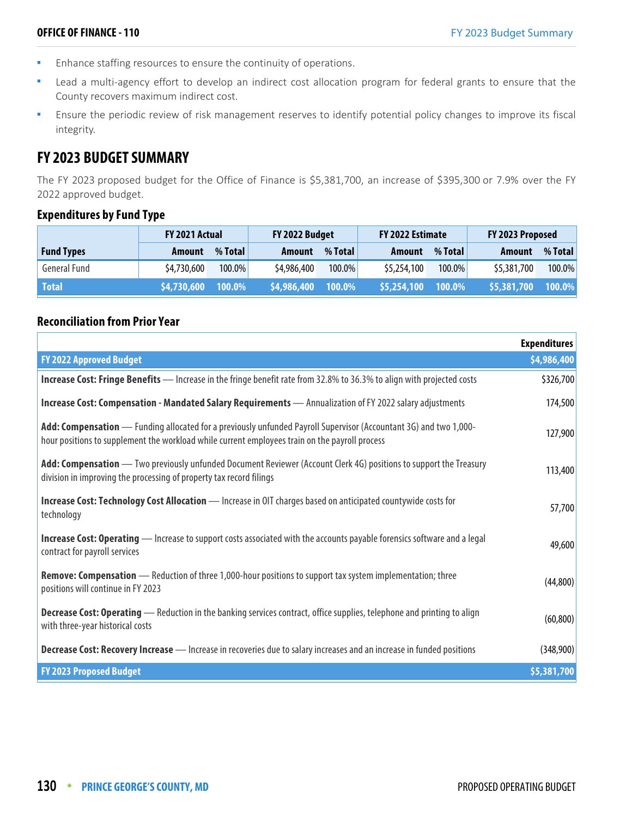- Enhance staffing resources to ensure the continuity of operations.
- Lead a multi-agency effort to develop an indirect cost allocation program for federal grants to ensure that the County recovers maximum indirect cost.
- **Ensure the periodic review of risk management reserves to identify potential policy changes to improve its fiscal** integrity.

# **FY 2023 BUDGET SUMMARY**

The FY 2023 proposed budget for the Office of Finance is \$5,381,700, an increase of \$395,300 or 7.9% over the FY 2022 approved budget.

#### **Expenditures by Fund Type**

|                   | <b>FY 2021 Actual</b> |           | FY 2022 Budget |         | FY 2022 Estimate |           | FY 2023 Proposed |         |
|-------------------|-----------------------|-----------|----------------|---------|------------------|-----------|------------------|---------|
| <b>Fund Types</b> | Amount                | % Total   | Amount         | % Total | Amount           | % Total   | Amount           | % Total |
| General Fund      | \$4,730,600           | 100.0%    | \$4,986,400    | 100.0%  | \$5,254,100      | $100.0\%$ | \$5,381,700      | 100.0%  |
| <b>Total</b>      | \$4,730,600           | $100.0\%$ | \$4,986,400    | 100.0%  | \$5,254,100      | 100.0%    | \$5,381,700      | 100.0%  |

## **Reconciliation from Prior Year**

|                                                                                                                                                                                                                     | <b>Expenditures</b> |
|---------------------------------------------------------------------------------------------------------------------------------------------------------------------------------------------------------------------|---------------------|
| <b>FY 2022 Approved Budget</b>                                                                                                                                                                                      | \$4,986,400         |
| Increase Cost: Fringe Benefits — Increase in the fringe benefit rate from 32.8% to 36.3% to align with projected costs                                                                                              | \$326,700           |
| Increase Cost: Compensation - Mandated Salary Requirements - Annualization of FY 2022 salary adjustments                                                                                                            | 174,500             |
| Add: Compensation — Funding allocated for a previously unfunded Payroll Supervisor (Accountant 3G) and two 1,000-<br>hour positions to supplement the workload while current employees train on the payroll process | 127,900             |
| Add: Compensation — Two previously unfunded Document Reviewer (Account Clerk 4G) positions to support the Treasury<br>division in improving the processing of property tax record filings                           | 113,400             |
| Increase Cost: Technology Cost Allocation - Increase in OIT charges based on anticipated countywide costs for<br>technology                                                                                         | 57,700              |
| <b>Increase Cost: Operating</b> — Increase to support costs associated with the accounts payable forensics software and a legal<br>contract for payroll services                                                    | 49,600              |
| <b>Remove: Compensation</b> — Reduction of three 1,000-hour positions to support tax system implementation; three<br>positions will continue in FY 2023                                                             | (44, 800)           |
| <b>Decrease Cost: Operating</b> — Reduction in the banking services contract, office supplies, telephone and printing to align<br>with three-year historical costs                                                  | (60, 800)           |
| Decrease Cost: Recovery Increase - Increase in recoveries due to salary increases and an increase in funded positions                                                                                               | (348,900)           |
| <b>FY 2023 Proposed Budget</b>                                                                                                                                                                                      | \$5,381,700         |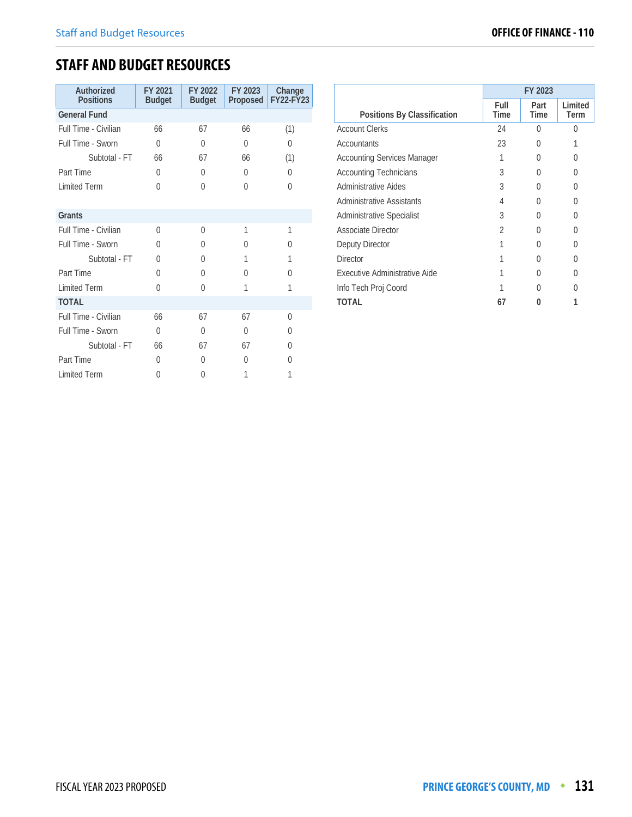# **STAFF AND BUDGET RESOURCES**

| Authorized<br><b>Positions</b> | FY 2021<br><b>Budget</b> | FY 2022<br><b>Budget</b> | FY 2023<br>Proposed | Change<br><b>FY22-FY23</b> |
|--------------------------------|--------------------------|--------------------------|---------------------|----------------------------|
| <b>General Fund</b>            |                          |                          |                     |                            |
| Full Time - Civilian           | 66                       | 67                       | 66                  | (1)                        |
| Full Time - Sworn              | $\theta$                 | $\Omega$                 | $\theta$            | $\Omega$                   |
| Subtotal - FT                  | 66                       | 67                       | 66                  | (1)                        |
| Part Time                      | $\Omega$                 | $\Omega$                 | 0                   | $\Omega$                   |
| <b>Limited Term</b>            | $\Omega$                 | $\Omega$                 | $\theta$            | $\Omega$                   |
|                                |                          |                          |                     |                            |
| Grants                         |                          |                          |                     |                            |
| Full Time - Civilian           | $\Omega$                 | $\Omega$                 | 1                   | 1                          |
| Full Time - Sworn              | 0                        | 0                        | 0                   | <sup>0</sup>               |
| Subtotal - FT                  | $\Omega$                 | $\Omega$                 | 1                   | 1                          |
| Part Time                      | <sup>0</sup>             | $\Omega$                 | $\Omega$            | $\Omega$                   |
| <b>Limited Term</b>            | 0                        | $\Omega$                 | 1                   | 1                          |
| <b>TOTAL</b>                   |                          |                          |                     |                            |
| Full Time - Civilian           | 66                       | 67                       | 67                  | $\Omega$                   |
| Full Time - Sworn              | $\Omega$                 | $\Omega$                 | 0                   | <sup>0</sup>               |
| Subtotal - FT                  | 66                       | 67                       | 67                  | $\Omega$                   |
| Part Time                      | $\Omega$                 | $\Omega$                 | $\Omega$            | $\Omega$                   |
| <b>Limited Term</b>            | 0                        | $\Omega$                 | 1                   | 1                          |

|                                    | FY 2023      |                  |                 |
|------------------------------------|--------------|------------------|-----------------|
| Positions By Classification        | Full<br>Time | Part<br>Time     | Limited<br>Term |
| <b>Account Clerks</b>              | 24           | U                | U               |
| <b>Accountants</b>                 | 23           | $\left( \right)$ |                 |
| <b>Accounting Services Manager</b> |              | $\left( \right)$ | 0               |
| <b>Accounting Technicians</b>      | 3            |                  | 0               |
| Administrative Aides               | 3            |                  | 0               |
| <b>Administrative Assistants</b>   | 4            |                  | U               |
| Administrative Specialist          | 3            |                  | 0               |
| Associate Director                 | 2            | O                | Λ               |
| Deputy Director                    |              | U                | 0               |
| <b>Director</b>                    |              |                  | 0               |
| Executive Administrative Aide      |              | O                | 0               |
| Info Tech Proj Coord               |              |                  |                 |
| TOTAL                              | 67           |                  |                 |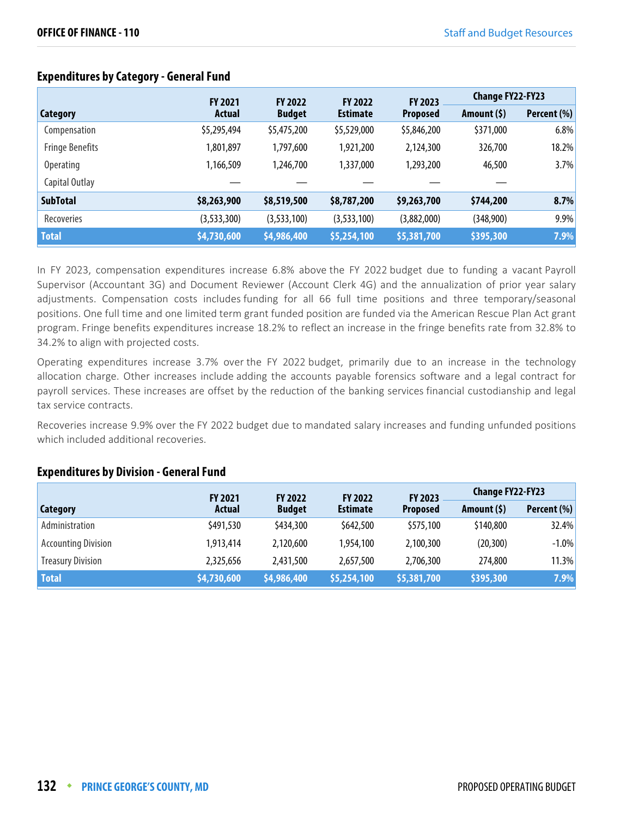|                        | <b>FY 2021</b> | <b>FY 2022</b> | <b>FY 2022</b>  | <b>FY 2023</b>  | <b>Change FY22-FY23</b> |             |
|------------------------|----------------|----------------|-----------------|-----------------|-------------------------|-------------|
| Category               | Actual         | <b>Budget</b>  | <b>Estimate</b> | <b>Proposed</b> | Amount $(5)$            | Percent (%) |
| Compensation           | \$5,295,494    | \$5,475,200    | \$5,529,000     | \$5,846,200     | \$371,000               | 6.8%        |
| <b>Fringe Benefits</b> | 1,801,897      | 1,797,600      | 1,921,200       | 2,124,300       | 326,700                 | 18.2%       |
| <b>Operating</b>       | 1,166,509      | 1,246,700      | 1,337,000       | 1,293,200       | 46,500                  | 3.7%        |
| Capital Outlay         |                |                |                 |                 |                         |             |
| <b>SubTotal</b>        | \$8,263,900    | \$8,519,500    | \$8,787,200     | \$9,263,700     | \$744,200               | 8.7%        |
| Recoveries             | (3,533,300)    | (3,533,100)    | (3,533,100)     | (3,882,000)     | (348,900)               | 9.9%        |
| <b>Total</b>           | \$4,730,600    | \$4,986,400    | \$5,254,100     | \$5,381,700     | \$395,300               | 7.9%        |

## **Expenditures by Category - General Fund**

In FY 2023, compensation expenditures increase 6.8% above the FY 2022 budget due to funding a vacant Payroll Supervisor (Accountant 3G) and Document Reviewer (Account Clerk 4G) and the annualization of prior year salary adjustments. Compensation costs includes funding for all 66 full time positions and three temporary/seasonal positions. One full time and one limited term grant funded position are funded via the American Rescue Plan Act grant program. Fringe benefits expenditures increase 18.2% to reflect an increase in the fringe benefits rate from 32.8% to 34.2% to align with projected costs.

Operating expenditures increase 3.7% over the FY 2022 budget, primarily due to an increase in the technology allocation charge. Other increases include adding the accounts payable forensics software and a legal contract for payroll services. These increases are offset by the reduction of the banking services financial custodianship and legal tax service contracts.

Recoveries increase 9.9% over the FY 2022 budget due to mandated salary increases and funding unfunded positions which included additional recoveries.

#### **Expenditures by Division - General Fund**

|                            | <b>FY 2021</b> | <b>FY 2022</b> | <b>FY 2022</b>  | FY 2023         | <b>Change FY22-FY23</b> |             |
|----------------------------|----------------|----------------|-----------------|-----------------|-------------------------|-------------|
| Category                   | Actual         | <b>Budget</b>  | <b>Estimate</b> | <b>Proposed</b> | Amount $(5)$            | Percent (%) |
| Administration             | \$491,530      | \$434,300      | \$642,500       | \$575,100       | \$140,800               | 32.4%       |
| <b>Accounting Division</b> | 1,913,414      | 2,120,600      | 1,954,100       | 2,100,300       | (20, 300)               | $-1.0\%$    |
| <b>Treasury Division</b>   | 2,325,656      | 2,431,500      | 2,657,500       | 2,706,300       | 274,800                 | 11.3%       |
| <b>Total</b>               | \$4,730,600    | \$4,986,400    | \$5,254,100     | \$5,381,700     | \$395,300               | 7.9%        |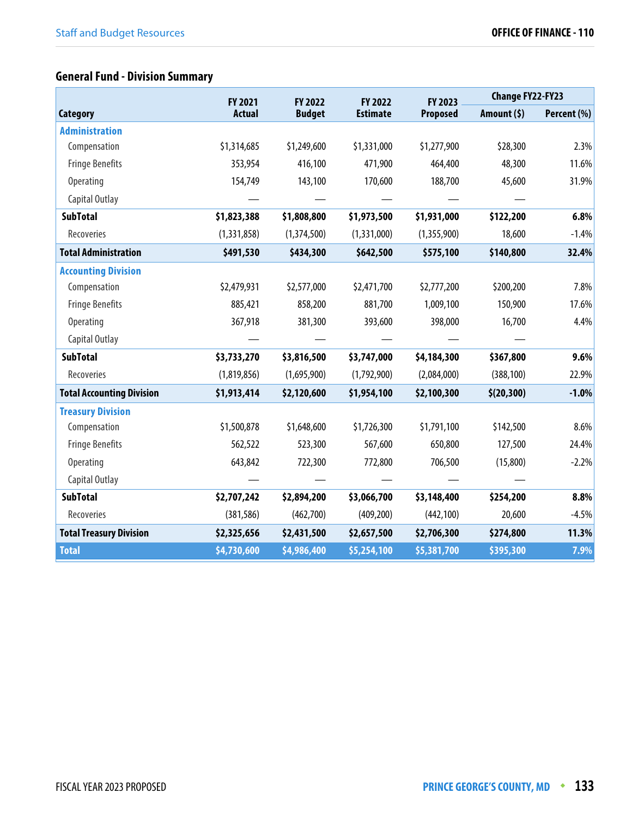# **General Fund - Division Summary**

|                                  | FY 2021       | FY 2022       | FY 2022         | FY 2023         | <b>Change FY22-FY23</b> |             |
|----------------------------------|---------------|---------------|-----------------|-----------------|-------------------------|-------------|
| <b>Category</b>                  | <b>Actual</b> | <b>Budget</b> | <b>Estimate</b> | <b>Proposed</b> | Amount $(5)$            | Percent (%) |
| <b>Administration</b>            |               |               |                 |                 |                         |             |
| Compensation                     | \$1,314,685   | \$1,249,600   | \$1,331,000     | \$1,277,900     | \$28,300                | 2.3%        |
| <b>Fringe Benefits</b>           | 353,954       | 416,100       | 471,900         | 464,400         | 48,300                  | 11.6%       |
| <b>Operating</b>                 | 154,749       | 143,100       | 170,600         | 188,700         | 45,600                  | 31.9%       |
| Capital Outlay                   |               |               |                 |                 |                         |             |
| <b>SubTotal</b>                  | \$1,823,388   | \$1,808,800   | \$1,973,500     | \$1,931,000     | \$122,200               | 6.8%        |
| Recoveries                       | (1,331,858)   | (1,374,500)   | (1,331,000)     | (1,355,900)     | 18,600                  | $-1.4%$     |
| <b>Total Administration</b>      | \$491,530     | \$434,300     | \$642,500       | \$575,100       | \$140,800               | 32.4%       |
| <b>Accounting Division</b>       |               |               |                 |                 |                         |             |
| Compensation                     | \$2,479,931   | \$2,577,000   | \$2,471,700     | \$2,777,200     | \$200,200               | 7.8%        |
| <b>Fringe Benefits</b>           | 885,421       | 858,200       | 881,700         | 1,009,100       | 150,900                 | 17.6%       |
| Operating                        | 367,918       | 381,300       | 393,600         | 398,000         | 16,700                  | 4.4%        |
| Capital Outlay                   |               |               |                 |                 |                         |             |
| <b>SubTotal</b>                  | \$3,733,270   | \$3,816,500   | \$3,747,000     | \$4,184,300     | \$367,800               | 9.6%        |
| Recoveries                       | (1,819,856)   | (1,695,900)   | (1,792,900)     | (2,084,000)     | (388, 100)              | 22.9%       |
| <b>Total Accounting Division</b> | \$1,913,414   | \$2,120,600   | \$1,954,100     | \$2,100,300     | \$(20, 300)             | $-1.0%$     |
| <b>Treasury Division</b>         |               |               |                 |                 |                         |             |
| Compensation                     | \$1,500,878   | \$1,648,600   | \$1,726,300     | \$1,791,100     | \$142,500               | 8.6%        |
| <b>Fringe Benefits</b>           | 562,522       | 523,300       | 567,600         | 650,800         | 127,500                 | 24.4%       |
| Operating                        | 643,842       | 722,300       | 772,800         | 706,500         | (15,800)                | $-2.2%$     |
| Capital Outlay                   |               |               |                 |                 |                         |             |
| <b>SubTotal</b>                  | \$2,707,242   | \$2,894,200   | \$3,066,700     | \$3,148,400     | \$254,200               | 8.8%        |
| Recoveries                       | (381, 586)    | (462,700)     | (409, 200)      | (442, 100)      | 20,600                  | $-4.5%$     |
| <b>Total Treasury Division</b>   | \$2,325,656   | \$2,431,500   | \$2,657,500     | \$2,706,300     | \$274,800               | 11.3%       |
| <b>Total</b>                     | \$4,730,600   | \$4,986,400   | \$5,254,100     | \$5,381,700     | \$395,300               | 7.9%        |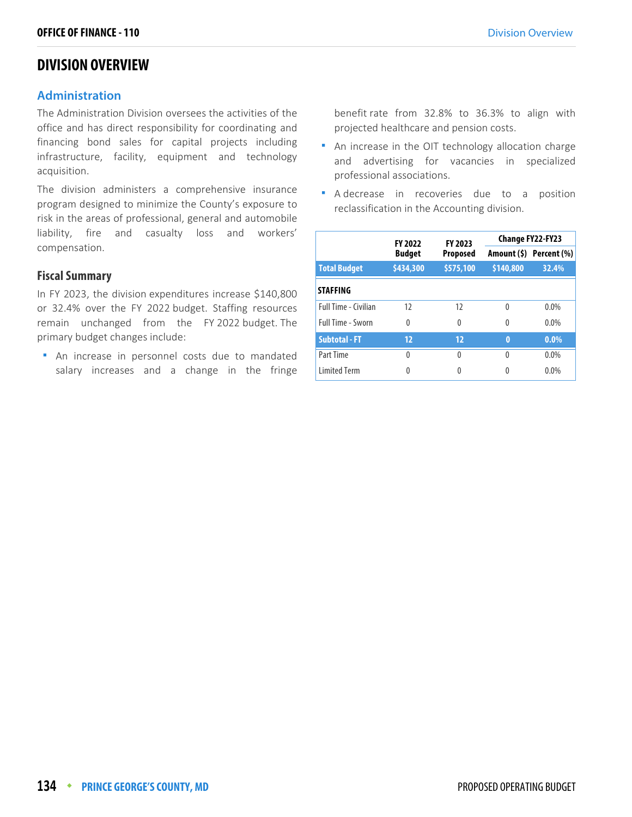## **DIVISION OVERVIEW**

#### **Administration**

The Administration Division oversees the activities of the office and has direct responsibility for coordinating and financing bond sales for capital projects including infrastructure, facility, equipment and technology acquisition.

The division administers a comprehensive insurance program designed to minimize the County's exposure to risk in the areas of professional, general and automobile liability, fire and casualty loss and workers' compensation.

#### **Fiscal Summary**

In FY 2023, the division expenditures increase \$140,800 or 32.4% over the FY 2022 budget. Staffing resources remain unchanged from the FY 2022 budget. The primary budget changes include:

 An increase in personnel costs due to mandated salary increases and a change in the fringe

benefit rate from 32.8% to 36.3% to align with projected healthcare and pension costs.

- An increase in the OIT technology allocation charge and advertising for vacancies in specialized professional associations.
- **A** decrease in recoveries due to a position reclassification in the Accounting division.

|                      | <b>FY 2023</b><br><b>FY 2022</b> |                 | <b>Change FY22-FY23</b> |                         |  |
|----------------------|----------------------------------|-----------------|-------------------------|-------------------------|--|
|                      | <b>Budget</b>                    | <b>Proposed</b> |                         | Amount (\$) Percent (%) |  |
| <b>Total Budget</b>  | \$434,300                        | \$575,100       | \$140,800               | 32.4%                   |  |
| <b>STAFFING</b>      |                                  |                 |                         |                         |  |
| Full Time - Civilian | 12                               | 12              | 0                       | $0.0\%$                 |  |
| Full Time - Sworn    | 0                                | $\Omega$        | 0                       | $0.0\%$                 |  |
| <b>Subtotal - FT</b> | 12                               | 12              | $\bf{0}$                | $0.0\%$                 |  |
| Part Time            | 0                                | 0               | 0                       | $0.0\%$                 |  |
| <b>Limited Term</b>  | 0                                | 0               | 0                       | $0.0\%$                 |  |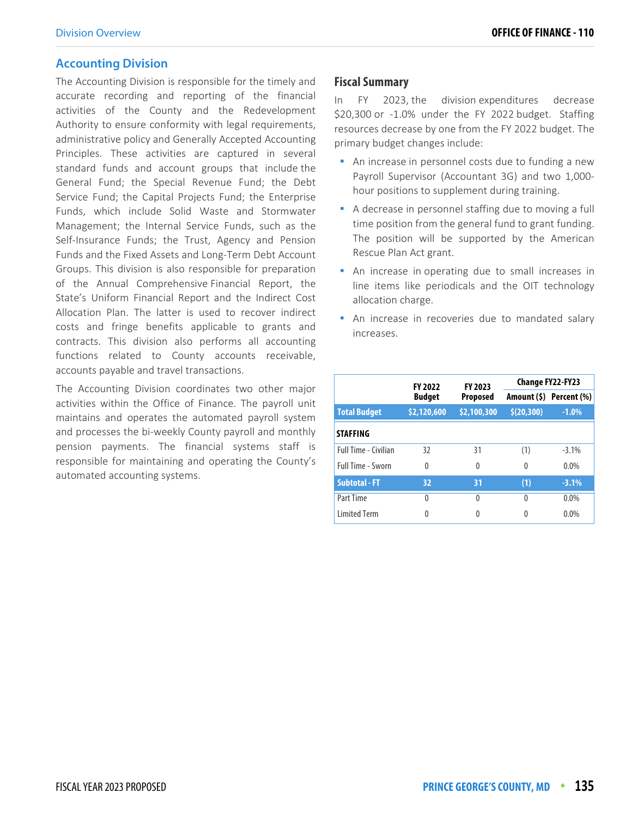#### **Accounting Division**

The Accounting Division is responsible for the timely and accurate recording and reporting of the financial activities of the County and the Redevelopment Authority to ensure conformity with legal requirements, administrative policy and Generally Accepted Accounting Principles. These activities are captured in several standard funds and account groups that include the General Fund; the Special Revenue Fund; the Debt Service Fund; the Capital Projects Fund; the Enterprise Funds, which include Solid Waste and Stormwater Management; the Internal Service Funds, such as the Self-Insurance Funds; the Trust, Agency and Pension Funds and the Fixed Assets and Long-Term Debt Account Groups. This division is also responsible for preparation of the Annual Comprehensive Financial Report, the State's Uniform Financial Report and the Indirect Cost Allocation Plan. The latter is used to recover indirect costs and fringe benefits applicable to grants and contracts. This division also performs all accounting functions related to County accounts receivable, accounts payable and travel transactions.

The Accounting Division coordinates two other major activities within the Office of Finance. The payroll unit maintains and operates the automated payroll system and processes the bi-weekly County payroll and monthly pension payments. The financial systems staff is responsible for maintaining and operating the County's automated accounting systems.

#### **Fiscal Summary**

In FY 2023, the division expenditures decrease \$20,300 or -1.0% under the FY 2022 budget. Staffing resources decrease by one from the FY 2022 budget. The primary budget changes include:

- An increase in personnel costs due to funding a new Payroll Supervisor (Accountant 3G) and two 1,000 hour positions to supplement during training.
- A decrease in personnel staffing due to moving a full time position from the general fund to grant funding. The position will be supported by the American Rescue Plan Act grant.
- **An increase in operating due to small increases in** line items like periodicals and the OIT technology allocation charge.
- **An increase in recoveries due to mandated salary** increases.

|                      | FY 2023<br><b>FY 2022</b> |              | <b>Change FY22-FY23</b> |                         |  |
|----------------------|---------------------------|--------------|-------------------------|-------------------------|--|
|                      | <b>Budget</b>             | Proposed     |                         | Amount (\$) Percent (%) |  |
| <b>Total Budget</b>  | \$2,120,600               | \$2,100,300  | \$(20, 300)             | $-1.0%$                 |  |
| <b>STAFFING</b>      |                           |              |                         |                         |  |
| Full Time - Civilian | 32                        | 31           | (1)                     | $-3.1\%$                |  |
| Full Time - Sworn    | $\Omega$                  | 0            | 0                       | $0.0\%$                 |  |
| <b>Subtotal - FT</b> | 32                        | 31           | (1)                     | $-3.1%$                 |  |
| Part Time            | $\Omega$                  | <sup>0</sup> | 0                       | $0.0\%$                 |  |
| <b>Limited Term</b>  | 0                         | <sup>0</sup> | 0                       | $0.0\%$                 |  |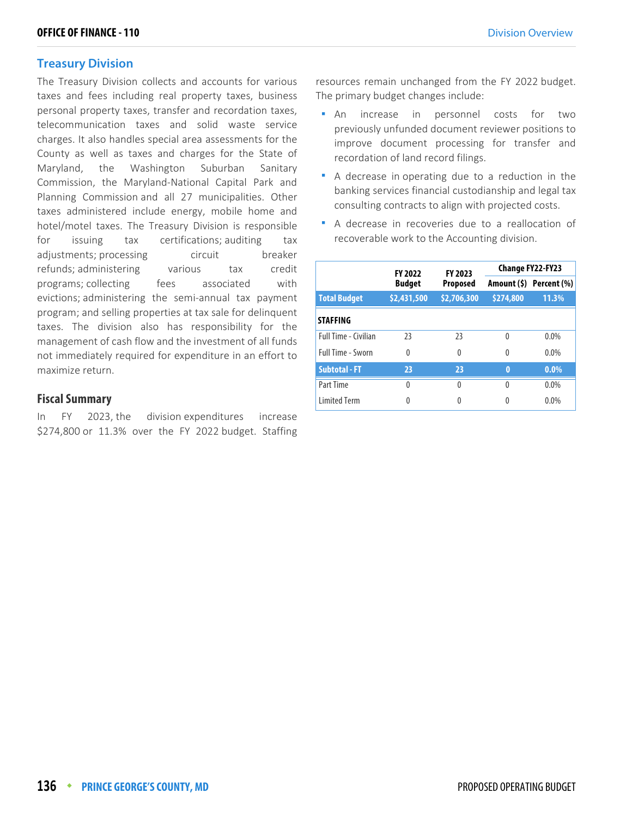#### **Treasury Division**

The Treasury Division collects and accounts for various taxes and fees including real property taxes, business personal property taxes, transfer and recordation taxes, telecommunication taxes and solid waste service charges. It also handles special area assessments for the County as well as taxes and charges for the State of Maryland, the Washington Suburban Sanitary Commission, the Maryland-National Capital Park and Planning Commission and all 27 municipalities. Other taxes administered include energy, mobile home and hotel/motel taxes. The Treasury Division is responsible for issuing tax certifications; auditing tax adjustments; processing eircuit breaker refunds; administering various tax credit programs; collecting fees associated with evictions; administering the semi-annual tax payment program; and selling properties at tax sale for delinquent taxes. The division also has responsibility for the management of cash flow and the investment of all funds not immediately required for expenditure in an effort to maximize return.

#### **Fiscal Summary**

In FY 2023, the division expenditures increase \$274,800 or 11.3% over the FY 2022 budget. Staffing

resources remain unchanged from the FY 2022 budget. The primary budget changes include:

- An increase in personnel costs for two previously unfunded document reviewer positions to improve document processing for transfer and recordation of land record filings.
- A decrease in operating due to a reduction in the banking services financial custodianship and legal tax consulting contracts to align with projected costs.
- A decrease in recoveries due to a reallocation of recoverable work to the Accounting division.

|                      | <b>FY 2022</b> | <b>FY 2023</b>  | Change FY22-FY23 |                         |  |
|----------------------|----------------|-----------------|------------------|-------------------------|--|
|                      | <b>Budget</b>  | <b>Proposed</b> |                  | Amount (\$) Percent (%) |  |
| <b>Total Budget</b>  | \$2,431,500    | \$2,706,300     | \$274,800        | 11.3%                   |  |
| <b>STAFFING</b>      |                |                 |                  |                         |  |
| Full Time - Civilian | 23             | 23              | $\Omega$         | $0.0\%$                 |  |
| Full Time - Sworn    | $\Omega$       | $\Omega$        | 0                | $0.0\%$                 |  |
| <b>Subtotal - FT</b> | 23             | 23              | $\bf{0}$         | $0.0\%$                 |  |
| Part Time            | $\Omega$       | $\Omega$        | $\Omega$         | $0.0\%$                 |  |
| <b>Limited Term</b>  | 0              | 0               | 0                | 0.0%                    |  |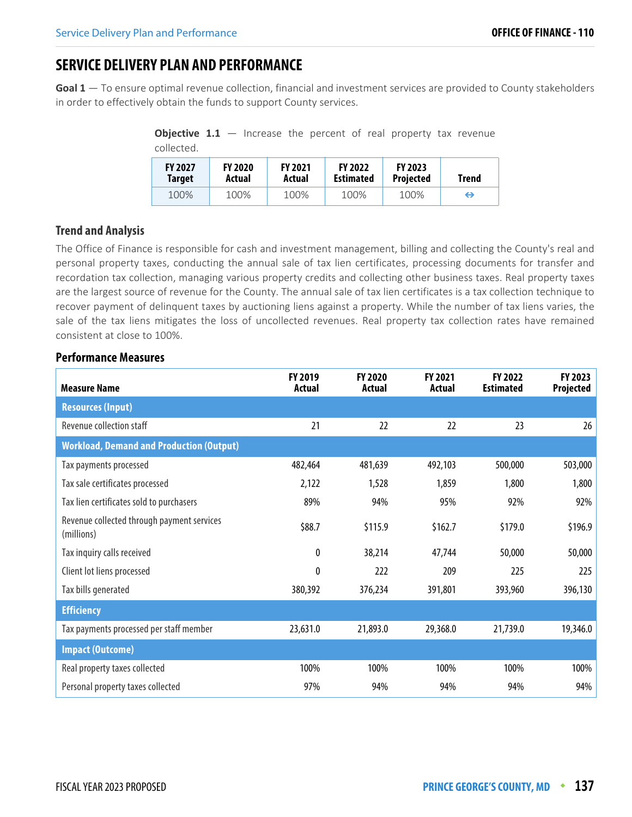# **SERVICE DELIVERY PLAN AND PERFORMANCE**

**Goal 1** — To ensure optimal revenue collection, financial and investment services are provided to County stakeholders in order to effectively obtain the funds to support County services.

**Objective 1.1** – Increase the percent of real property tax revenue collected.

| <b>FY 2027</b><br><b>Target</b> | <b>FY 2020</b><br>Actual | <b>FY 2021</b><br>Actual | <b>FY 2022</b><br><b>Estimated</b> | <b>FY 2023</b><br>Projected | Trend |
|---------------------------------|--------------------------|--------------------------|------------------------------------|-----------------------------|-------|
| 100%                            | 100%                     | 100%                     | 100%                               | 100%                        | ⇔     |

#### **Trend and Analysis**

The Office of Finance is responsible for cash and investment management, billing and collecting the County's real and personal property taxes, conducting the annual sale of tax lien certificates, processing documents for transfer and recordation tax collection, managing various property credits and collecting other business taxes. Real property taxes are the largest source of revenue for the County. The annual sale of tax lien certificates is a tax collection technique to recover payment of delinquent taxes by auctioning liens against a property. While the number of tax liens varies, the sale of the tax liens mitigates the loss of uncollected revenues. Real property tax collection rates have remained consistent at close to 100%.

| <b>Measure Name</b>                                      | FY 2019<br><b>Actual</b> | FY 2020<br>Actual | FY 2021<br><b>Actual</b> | FY 2022<br><b>Estimated</b> | FY 2023<br>Projected |
|----------------------------------------------------------|--------------------------|-------------------|--------------------------|-----------------------------|----------------------|
| <b>Resources (Input)</b>                                 |                          |                   |                          |                             |                      |
| Revenue collection staff                                 | 21                       | 22                | 22                       | 23                          | 26                   |
| <b>Workload, Demand and Production (Output)</b>          |                          |                   |                          |                             |                      |
| Tax payments processed                                   | 482,464                  | 481,639           | 492,103                  | 500,000                     | 503,000              |
| Tax sale certificates processed                          | 2,122                    | 1,528             | 1,859                    | 1,800                       | 1,800                |
| Tax lien certificates sold to purchasers                 | 89%                      | 94%               | 95%                      | 92%                         | 92%                  |
| Revenue collected through payment services<br>(millions) | \$88.7                   | \$115.9           | \$162.7                  | \$179.0                     | \$196.9              |
| Tax inquiry calls received                               | 0                        | 38,214            | 47,744                   | 50,000                      | 50,000               |
| Client lot liens processed                               | 0                        | 222               | 209                      | 225                         | 225                  |
| Tax bills generated                                      | 380,392                  | 376,234           | 391,801                  | 393,960                     | 396,130              |
| <b>Efficiency</b>                                        |                          |                   |                          |                             |                      |
| Tax payments processed per staff member                  | 23,631.0                 | 21,893.0          | 29,368.0                 | 21,739.0                    | 19,346.0             |
| <b>Impact (Outcome)</b>                                  |                          |                   |                          |                             |                      |
| Real property taxes collected                            | 100%                     | 100%              | 100%                     | 100%                        | 100%                 |
| Personal property taxes collected                        | 97%                      | 94%               | 94%                      | 94%                         | 94%                  |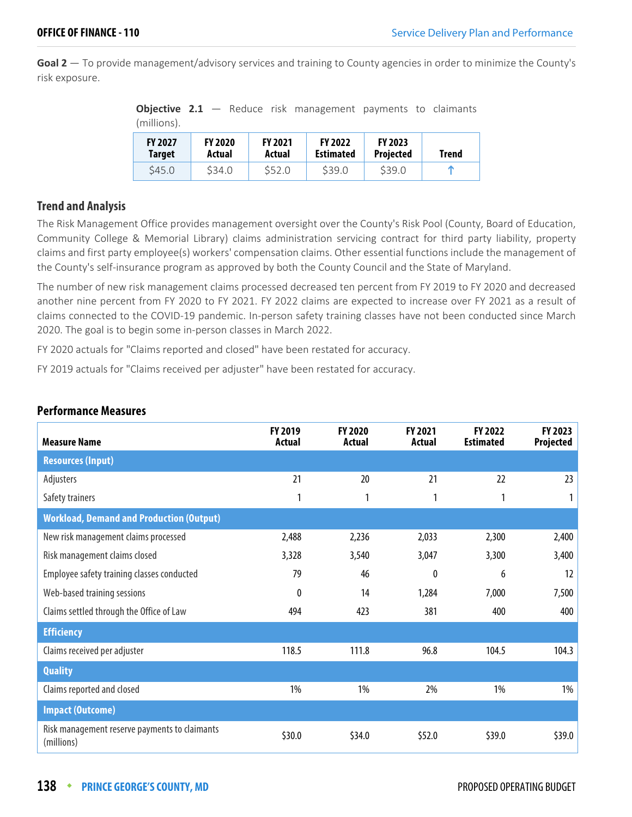**Goal 2** — To provide management/advisory services and training to County agencies in order to minimize the County's risk exposure.

**Objective 2.1** – Reduce risk management payments to claimants (millions).

| <b>FY 2027</b> | <b>FY 2020</b> | <b>FY 2021</b> | <b>FY 2022</b>   | <b>FY 2023</b>   | Trend |
|----------------|----------------|----------------|------------------|------------------|-------|
| <b>Target</b>  | Actual         | Actual         | <b>Estimated</b> | <b>Projected</b> |       |
| S45.0          | \$34.0         | \$52.0         | \$39.0           | \$39.0           | m     |

#### **Trend and Analysis**

The Risk Management Office provides management oversight over the County's Risk Pool (County, Board of Education, Community College & Memorial Library) claims administration servicing contract for third party liability, property claims and first party employee(s) workers' compensation claims. Other essential functions include the management of the County's self-insurance program as approved by both the County Council and the State of Maryland.

The number of new risk management claims processed decreased ten percent from FY 2019 to FY 2020 and decreased another nine percent from FY 2020 to FY 2021. FY 2022 claims are expected to increase over FY 2021 as a result of claims connected to the COVID-19 pandemic. In-person safety training classes have not been conducted since March 2020. The goal is to begin some in-person classes in March 2022.

FY 2020 actuals for "Claims reported and closed" have been restated for accuracy.

FY 2019 actuals for "Claims received per adjuster" have been restated for accuracy.

| <b>Measure Name</b>                                         | FY 2019<br>Actual | FY 2020<br><b>Actual</b> | FY 2021<br>Actual | FY 2022<br><b>Estimated</b> | FY 2023<br><b>Projected</b> |
|-------------------------------------------------------------|-------------------|--------------------------|-------------------|-----------------------------|-----------------------------|
| <b>Resources (Input)</b>                                    |                   |                          |                   |                             |                             |
| Adjusters                                                   | 21                | 20                       | 21                | 22                          | 23                          |
| Safety trainers                                             | 1                 | 1                        | 1                 | 1                           | 1                           |
| <b>Workload, Demand and Production (Output)</b>             |                   |                          |                   |                             |                             |
| New risk management claims processed                        | 2,488             | 2,236                    | 2,033             | 2,300                       | 2,400                       |
| Risk management claims closed                               | 3,328             | 3,540                    | 3,047             | 3,300                       | 3,400                       |
| Employee safety training classes conducted                  | 79                | 46                       | $\mathbf{0}$      | 6                           | 12                          |
| Web-based training sessions                                 | 0                 | 14                       | 1,284             | 7,000                       | 7,500                       |
| Claims settled through the Office of Law                    | 494               | 423                      | 381               | 400                         | 400                         |
| <b>Efficiency</b>                                           |                   |                          |                   |                             |                             |
| Claims received per adjuster                                | 118.5             | 111.8                    | 96.8              | 104.5                       | 104.3                       |
| <b>Quality</b>                                              |                   |                          |                   |                             |                             |
| Claims reported and closed                                  | 1%                | 1%                       | 2%                | 1%                          | 1%                          |
| <b>Impact (Outcome)</b>                                     |                   |                          |                   |                             |                             |
| Risk management reserve payments to claimants<br>(millions) | \$30.0            | \$34.0                   | \$52.0            | \$39.0                      | \$39.0                      |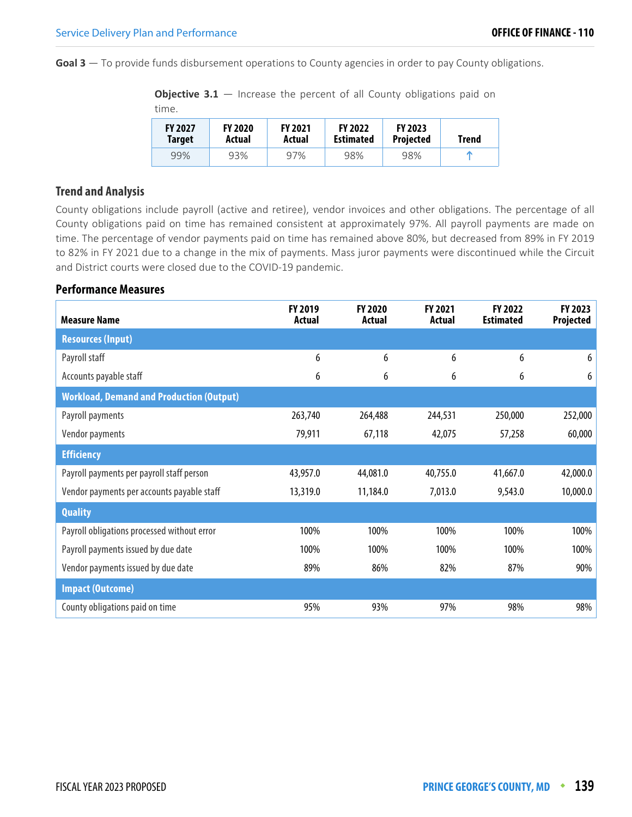**Goal 3** — To provide funds disbursement operations to County agencies in order to pay County obligations.

**Objective 3.1** – Increase the percent of all County obligations paid on time.

| <b>FY 2027</b> | <b>FY 2020</b> | <b>FY 2021</b> | <b>FY 2022</b>   | <b>FY 2023</b>   | <b>Trend</b> |
|----------------|----------------|----------------|------------------|------------------|--------------|
| Target         | Actual         | Actual         | <b>Estimated</b> | <b>Projected</b> |              |
| 99%            | 93%            | 97%            | 98%              | 98%              |              |

#### **Trend and Analysis**

County obligations include payroll (active and retiree), vendor invoices and other obligations. The percentage of all County obligations paid on time has remained consistent at approximately 97%. All payroll payments are made on time. The percentage of vendor payments paid on time has remained above 80%, but decreased from 89% in FY 2019 to 82% in FY 2021 due to a change in the mix of payments. Mass juror payments were discontinued while the Circuit and District courts were closed due to the COVID-19 pandemic.

| <b>Measure Name</b>                             | FY 2019<br><b>Actual</b> | <b>FY 2020</b><br><b>Actual</b> | FY 2021<br>Actual | FY 2022<br><b>Estimated</b> | FY 2023<br>Projected |
|-------------------------------------------------|--------------------------|---------------------------------|-------------------|-----------------------------|----------------------|
| <b>Resources (Input)</b>                        |                          |                                 |                   |                             |                      |
| Payroll staff                                   | 6                        | 6                               | 6                 | 6                           | 6                    |
| Accounts payable staff                          | 6                        | 6                               | 6                 | 6                           | 6                    |
| <b>Workload, Demand and Production (Output)</b> |                          |                                 |                   |                             |                      |
| Payroll payments                                | 263,740                  | 264,488                         | 244,531           | 250,000                     | 252,000              |
| Vendor payments                                 | 79,911                   | 67,118                          | 42,075            | 57,258                      | 60,000               |
| <b>Efficiency</b>                               |                          |                                 |                   |                             |                      |
| Payroll payments per payroll staff person       | 43,957.0                 | 44,081.0                        | 40,755.0          | 41,667.0                    | 42,000.0             |
| Vendor payments per accounts payable staff      | 13,319.0                 | 11,184.0                        | 7,013.0           | 9,543.0                     | 10,000.0             |
| <b>Quality</b>                                  |                          |                                 |                   |                             |                      |
| Payroll obligations processed without error     | 100%                     | 100%                            | 100%              | 100%                        | 100%                 |
| Payroll payments issued by due date             | 100%                     | 100%                            | 100%              | 100%                        | 100%                 |
| Vendor payments issued by due date              | 89%                      | 86%                             | 82%               | 87%                         | 90%                  |
| <b>Impact (Outcome)</b>                         |                          |                                 |                   |                             |                      |
| County obligations paid on time                 | 95%                      | 93%                             | 97%               | 98%                         | 98%                  |